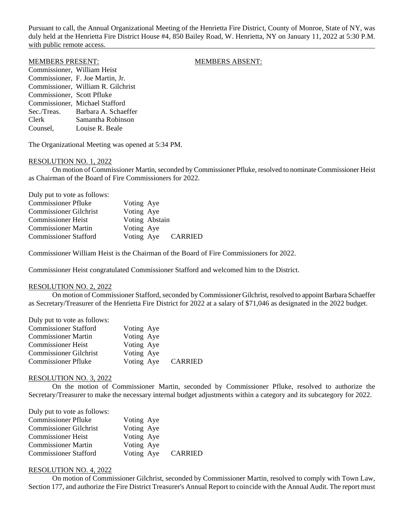Pursuant to call, the Annual Organizational Meeting of the Henrietta Fire District, County of Monroe, State of NY, was duly held at the Henrietta Fire District House #4, 850 Bailey Road, W. Henrietta, NY on January 11, 2022 at 5:30 P.M. with public remote access.

#### MEMBERS PRESENT: MEMBERS ABSENT:

Commissioner, William Heist Commissioner, F. Joe Martin, Jr. Commissioner, William R. Gilchrist Commissioner, Scott Pfluke Commissioner, Michael Stafford Sec./Treas. Barbara A. Schaeffer Clerk Samantha Robinson Counsel, Louise R. Beale

The Organizational Meeting was opened at 5:34 PM.

#### RESOLUTION NO. 1, 2022

On motion of Commissioner Martin, seconded by Commissioner Pfluke, resolved to nominate Commissioner Heist as Chairman of the Board of Fire Commissioners for 2022.

| Duly put to vote as follows:  |            |                |         |
|-------------------------------|------------|----------------|---------|
| <b>Commissioner Pfluke</b>    | Voting Aye |                |         |
| <b>Commissioner Gilchrist</b> | Voting Aye |                |         |
| <b>Commissioner Heist</b>     |            | Voting Abstain |         |
| <b>Commissioner Martin</b>    | Voting Aye |                |         |
| <b>Commissioner Stafford</b>  | Voting Aye |                | CARRIED |

Commissioner William Heist is the Chairman of the Board of Fire Commissioners for 2022.

Commissioner Heist congratulated Commissioner Stafford and welcomed him to the District.

#### RESOLUTION NO. 2, 2022

On motion of Commissioner Stafford, seconded by Commissioner Gilchrist, resolved to appoint Barbara Schaeffer as Secretary/Treasurer of the Henrietta Fire District for 2022 at a salary of \$71,046 as designated in the 2022 budget.

| Voting Aye |                |
|------------|----------------|
| Voting Aye |                |
| Voting Aye |                |
| Voting Aye |                |
| Voting Aye | <b>CARRIED</b> |
|            |                |

#### RESOLUTION NO. 3, 2022

On the motion of Commissioner Martin, seconded by Commissioner Pfluke, resolved to authorize the Secretary/Treasurer to make the necessary internal budget adjustments within a category and its subcategory for 2022.

| Duly put to vote as follows:  |            |                |
|-------------------------------|------------|----------------|
| <b>Commissioner Pfluke</b>    | Voting Aye |                |
| <b>Commissioner Gilchrist</b> | Voting Aye |                |
| <b>Commissioner Heist</b>     | Voting Aye |                |
| <b>Commissioner Martin</b>    | Voting Aye |                |
| <b>Commissioner Stafford</b>  | Voting Aye | <b>CARRIED</b> |

#### RESOLUTION NO. 4, 2022

On motion of Commissioner Gilchrist, seconded by Commissioner Martin, resolved to comply with Town Law, Section 177, and authorize the Fire District Treasurer's Annual Report to coincide with the Annual Audit. The report must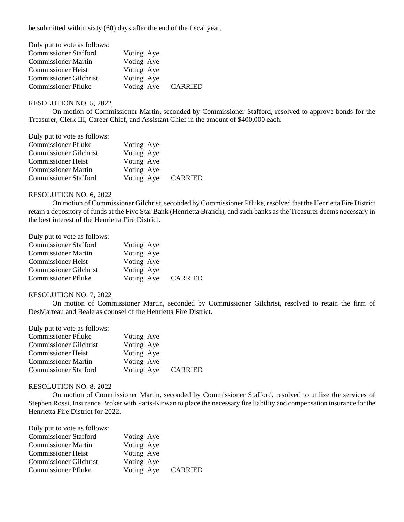be submitted within sixty (60) days after the end of the fiscal year.

| Duly put to vote as follows:  |            |                |
|-------------------------------|------------|----------------|
| <b>Commissioner Stafford</b>  | Voting Aye |                |
| <b>Commissioner Martin</b>    | Voting Aye |                |
| <b>Commissioner Heist</b>     | Voting Aye |                |
| <b>Commissioner Gilchrist</b> | Voting Aye |                |
| <b>Commissioner Pfluke</b>    | Voting Aye | <b>CARRIED</b> |

#### RESOLUTION NO. 5, 2022

On motion of Commissioner Martin, seconded by Commissioner Stafford, resolved to approve bonds for the Treasurer, Clerk III, Career Chief, and Assistant Chief in the amount of \$400,000 each.

| Duly put to vote as follows:  |            |                |
|-------------------------------|------------|----------------|
| <b>Commissioner Pfluke</b>    | Voting Aye |                |
| <b>Commissioner Gilchrist</b> | Voting Aye |                |
| <b>Commissioner Heist</b>     | Voting Aye |                |
| <b>Commissioner Martin</b>    | Voting Aye |                |
| <b>Commissioner Stafford</b>  | Voting Aye | <b>CARRIED</b> |

#### RESOLUTION NO. 6, 2022

On motion of Commissioner Gilchrist, seconded by Commissioner Pfluke, resolved that the Henrietta Fire District retain a depository of funds at the Five Star Bank (Henrietta Branch), and such banks as the Treasurer deems necessary in the best interest of the Henrietta Fire District.

| Voting Aye |                |
|------------|----------------|
| Voting Aye |                |
| Voting Aye |                |
| Voting Aye |                |
| Voting Aye | <b>CARRIED</b> |
|            |                |

# RESOLUTION NO. 7, 2022

On motion of Commissioner Martin, seconded by Commissioner Gilchrist, resolved to retain the firm of DesMarteau and Beale as counsel of the Henrietta Fire District.

| Duly put to vote as follows: |  |  |
|------------------------------|--|--|
|------------------------------|--|--|

| Voting Aye |         |
|------------|---------|
| Voting Aye |         |
| Voting Aye |         |
| Voting Aye |         |
| Voting Aye | CARRIED |
|            |         |

#### RESOLUTION NO. 8, 2022

On motion of Commissioner Martin, seconded by Commissioner Stafford, resolved to utilize the services of Stephen Rossi, Insurance Broker with Paris-Kirwan to place the necessary fire liability and compensation insurance for the Henrietta Fire District for 2022.

| Duly put to vote as follows:  |            |         |
|-------------------------------|------------|---------|
| <b>Commissioner Stafford</b>  | Voting Aye |         |
| <b>Commissioner Martin</b>    | Voting Aye |         |
| <b>Commissioner Heist</b>     | Voting Aye |         |
| <b>Commissioner Gilchrist</b> | Voting Aye |         |
| <b>Commissioner Pfluke</b>    | Voting Aye | CARRIED |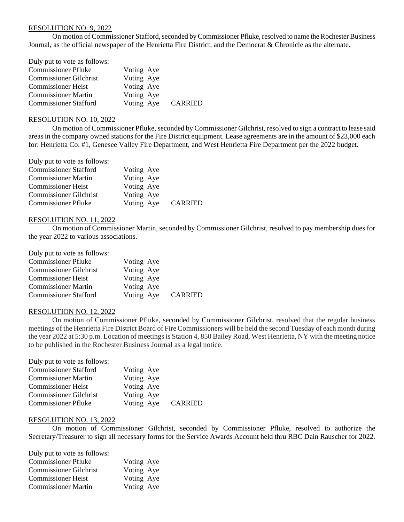## RESOLUTION NO. 9, 2022

On motion of Commissioner Stafford, seconded by Commissioner Pfluke, resolved to name the Rochester Business Journal, as the official newspaper of the Henrietta Fire District, and the Democrat & Chronicle as the alternate.

| Duly put to vote as follows:  |            |                |
|-------------------------------|------------|----------------|
| <b>Commissioner Pfluke</b>    | Voting Aye |                |
| <b>Commissioner Gilchrist</b> | Voting Aye |                |
| <b>Commissioner Heist</b>     | Voting Aye |                |
| <b>Commissioner Martin</b>    | Voting Aye |                |
| <b>Commissioner Stafford</b>  | Voting Aye | <b>CARRIED</b> |

# RESOLUTION NO. 10, 2022

On motion of Commissioner Pfluke, seconded by Commissioner Gilchrist, resolved to sign a contract to lease said areas in the company owned stations for the Fire District equipment. Lease agreements are in the amount of \$23,000 each for: Henrietta Co. #1, Genesee Valley Fire Department, and West Henrietta Fire Department per the 2022 budget.

| Duly put to vote as follows:                               |  |
|------------------------------------------------------------|--|
| <b>Commissioner Stafford</b><br>Voting Aye                 |  |
| Voting Aye<br><b>Commissioner Martin</b>                   |  |
| Voting Aye<br><b>Commissioner Heist</b>                    |  |
| <b>Commissioner Gilchrist</b><br>Voting Aye                |  |
| <b>Commissioner Pfluke</b><br><b>CARRIED</b><br>Voting Aye |  |

### RESOLUTION NO. 11, 2022

On motion of Commissioner Martin, seconded by Commissioner Gilchrist, resolved to pay membership dues for the year 2022 to various associations.

Duly put to vote as follows:

| Voting Aye |         |
|------------|---------|
| Voting Aye |         |
| Voting Aye |         |
| Voting Aye |         |
| Voting Aye | CARRIED |
|            |         |

#### RESOLUTION NO. 12, 2022

On motion of Commissioner Pfluke, seconded by Commissioner Gilchrist, resolved that the regular business meetings of the Henrietta Fire District Board of Fire Commissioners will be held the second Tuesday of each month during the year 2022 at 5:30 p.m. Location of meetingsis Station 4, 850 Bailey Road, West Henrietta, NY with the meeting notice to be published in the Rochester Business Journal as a legal notice.

| Duly put to vote as follows:  |            |         |
|-------------------------------|------------|---------|
| <b>Commissioner Stafford</b>  | Voting Aye |         |
| <b>Commissioner Martin</b>    | Voting Aye |         |
| <b>Commissioner Heist</b>     | Voting Aye |         |
| <b>Commissioner Gilchrist</b> | Voting Aye |         |
| <b>Commissioner Pfluke</b>    | Voting Aye | CARRIED |

#### RESOLUTION NO. 13, 2022

On motion of Commissioner Gilchrist, seconded by Commissioner Pfluke, resolved to authorize the Secretary/Treasurer to sign all necessary forms for the Service Awards Account held thru RBC Dain Rauscher for 2022.

| Duly put to vote as follows:  |            |
|-------------------------------|------------|
| <b>Commissioner Pfluke</b>    | Voting Aye |
| <b>Commissioner Gilchrist</b> | Voting Aye |
| <b>Commissioner Heist</b>     | Voting Aye |
| <b>Commissioner Martin</b>    | Voting Aye |